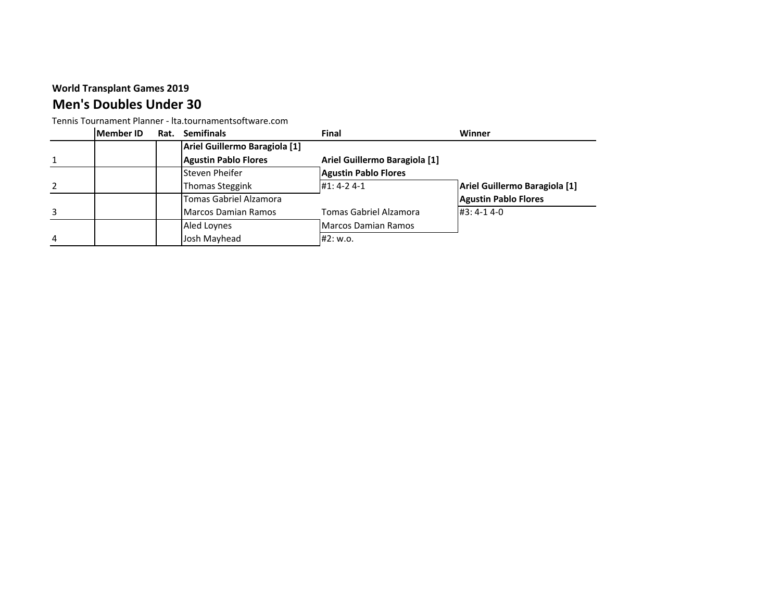## **Men's Doubles Under 30**

Tennis Tournament Planner - lta.tournamentsoftware.com

|   | Member ID | Rat. | <b>Semifinals</b>             | Final                         | Winner                        |
|---|-----------|------|-------------------------------|-------------------------------|-------------------------------|
|   |           |      | Ariel Guillermo Baragiola [1] |                               |                               |
|   |           |      | <b>Agustin Pablo Flores</b>   | Ariel Guillermo Baragiola [1] |                               |
|   |           |      | Steven Pheifer                | <b>Agustin Pablo Flores</b>   |                               |
|   |           |      | Thomas Steggink               | #1: 4-2 4-1                   | Ariel Guillermo Baragiola [1] |
|   |           |      | Tomas Gabriel Alzamora        |                               | <b>Agustin Pablo Flores</b>   |
| 3 |           |      | Marcos Damian Ramos           | Tomas Gabriel Alzamora        | $#3: 4-1 4-0$                 |
|   |           |      | Aled Loynes                   | <b>Marcos Damian Ramos</b>    |                               |
| 4 |           |      | Josh Mayhead                  | #2: w.o.                      |                               |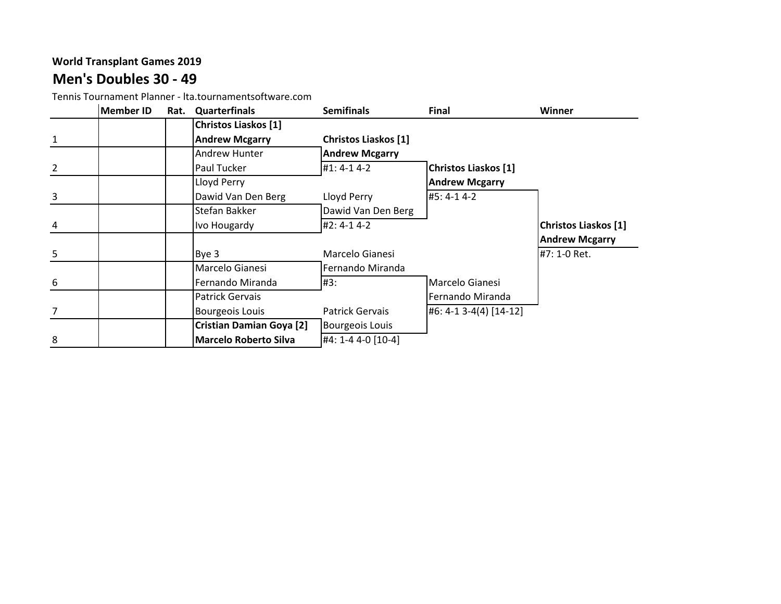# **Men's Doubles 30 - 49**

Tennis Tournament Planner - lta.tournamentsoftware.com

|                | <b>Member ID</b> | Rat. | Quarterfinals                   | <b>Semifinals</b>           | <b>Final</b>                | Winner                      |
|----------------|------------------|------|---------------------------------|-----------------------------|-----------------------------|-----------------------------|
|                |                  |      | Christos Liaskos [1]            |                             |                             |                             |
| $\mathbf{1}$   |                  |      | <b>Andrew Mcgarry</b>           | <b>Christos Liaskos [1]</b> |                             |                             |
|                |                  |      | <b>Andrew Hunter</b>            | <b>Andrew Mcgarry</b>       |                             |                             |
| $\overline{2}$ |                  |      | Paul Tucker                     | #1: 4-1 4-2                 | <b>Christos Liaskos [1]</b> |                             |
|                |                  |      | Lloyd Perry                     |                             | <b>Andrew Mcgarry</b>       |                             |
| $\mathbf{3}$   |                  |      | Dawid Van Den Berg              | Lloyd Perry                 | #5: 4-1 4-2                 |                             |
|                |                  |      | Stefan Bakker                   | Dawid Van Den Berg          |                             |                             |
| 4              |                  |      | Ivo Hougardy                    | #2: 4-1 4-2                 |                             | <b>Christos Liaskos [1]</b> |
|                |                  |      |                                 |                             |                             | <b>Andrew Mcgarry</b>       |
| 5 <sub>5</sub> |                  |      | Bye 3                           | Marcelo Gianesi             |                             | #7: 1-0 Ret.                |
|                |                  |      | Marcelo Gianesi                 | Fernando Miranda            |                             |                             |
| 6              |                  |      | Fernando Miranda                | #3:                         | Marcelo Gianesi             |                             |
|                |                  |      | <b>Patrick Gervais</b>          |                             | Fernando Miranda            |                             |
| 7              |                  |      | <b>Bourgeois Louis</b>          | <b>Patrick Gervais</b>      | #6: 4-1 3-4(4) [14-12]      |                             |
|                |                  |      | <b>Cristian Damian Goya [2]</b> | <b>Bourgeois Louis</b>      |                             |                             |
| 8              |                  |      | <b>Marcelo Roberto Silva</b>    | #4: 1-4 4-0 [10-4]          |                             |                             |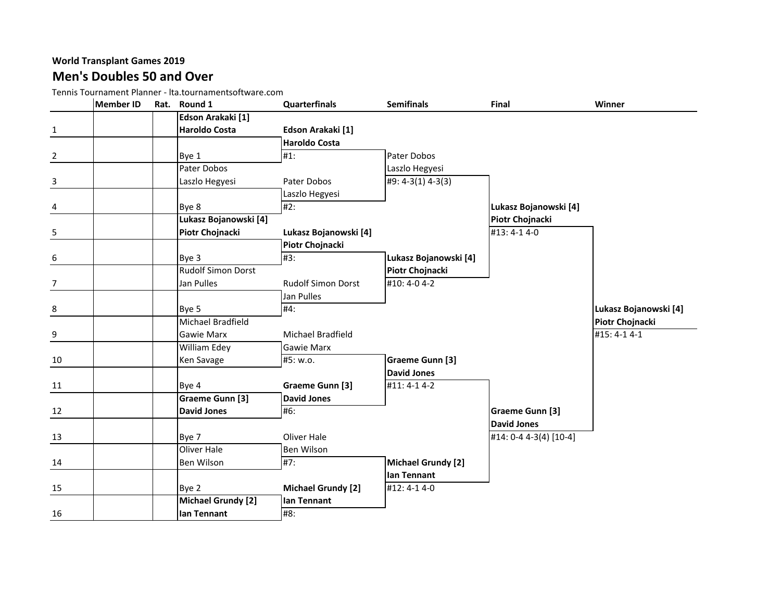#### **World Transplant Games 2019 Men's Doubles 50 and Over**

Tennis Tournament Planner - lta.tournamentsoftware.com

|                | <b>Member ID</b> | Rat. Round 1              | <b>Quarterfinals</b>      | <b>Semifinals</b>         | Final                  | Winner                |
|----------------|------------------|---------------------------|---------------------------|---------------------------|------------------------|-----------------------|
|                |                  | Edson Arakaki [1]         |                           |                           |                        |                       |
| $\mathbf{1}$   |                  | <b>Haroldo Costa</b>      | Edson Arakaki [1]         |                           |                        |                       |
|                |                  |                           | <b>Haroldo Costa</b>      |                           |                        |                       |
| $\overline{2}$ |                  | Bye 1                     | $#1$ :                    | Pater Dobos               |                        |                       |
|                |                  | Pater Dobos               |                           | Laszlo Hegyesi            |                        |                       |
| 3              |                  | Laszlo Hegyesi            | Pater Dobos               | #9: 4-3(1) 4-3(3)         |                        |                       |
|                |                  |                           | Laszlo Hegyesi            |                           |                        |                       |
| 4              |                  | Bye 8                     | #2:                       |                           | Lukasz Bojanowski [4]  |                       |
|                |                  | Lukasz Bojanowski [4]     |                           |                           | Piotr Chojnacki        |                       |
| 5              |                  | Piotr Chojnacki           | Lukasz Bojanowski [4]     |                           | #13:4-14-0             |                       |
|                |                  |                           | Piotr Chojnacki           |                           |                        |                       |
| 6              |                  | Bye 3                     | #3:                       | Lukasz Bojanowski [4]     |                        |                       |
|                |                  | <b>Rudolf Simon Dorst</b> |                           | Piotr Chojnacki           |                        |                       |
| $\overline{7}$ |                  | Jan Pulles                | <b>Rudolf Simon Dorst</b> | #10: 4-0 4-2              |                        |                       |
|                |                  |                           | Jan Pulles                |                           |                        |                       |
| 8              |                  | Bye 5                     | #4:                       |                           |                        | Lukasz Bojanowski [4] |
|                |                  | Michael Bradfield         |                           |                           |                        | Piotr Chojnacki       |
| 9              |                  | Gawie Marx                | Michael Bradfield         |                           |                        | #15: 4-1 4-1          |
|                |                  | William Edey              | <b>Gawie Marx</b>         |                           |                        |                       |
| 10             |                  | Ken Savage                | #5: w.o.                  | <b>Graeme Gunn [3]</b>    |                        |                       |
|                |                  |                           |                           | <b>David Jones</b>        |                        |                       |
| 11             |                  | Bye 4                     | Graeme Gunn [3]           | #11: 4-1 4-2              |                        |                       |
|                |                  | Graeme Gunn [3]           | <b>David Jones</b>        |                           |                        |                       |
| 12             |                  | <b>David Jones</b>        | #6:                       |                           | <b>Graeme Gunn [3]</b> |                       |
|                |                  |                           |                           |                           | <b>David Jones</b>     |                       |
| 13             |                  | Bye 7                     | <b>Oliver Hale</b>        |                           | #14: 0-4 4-3(4) [10-4] |                       |
|                |                  | <b>Oliver Hale</b>        | Ben Wilson                |                           |                        |                       |
| 14             |                  | Ben Wilson                | #7:                       | <b>Michael Grundy [2]</b> |                        |                       |
|                |                  |                           |                           | lan Tennant               |                        |                       |
| 15             |                  | Bye 2                     | <b>Michael Grundy [2]</b> | #12:4-14-0                |                        |                       |
|                |                  | Michael Grundy [2]        | lan Tennant               |                           |                        |                       |
| 16             |                  | lan Tennant               | #8:                       |                           |                        |                       |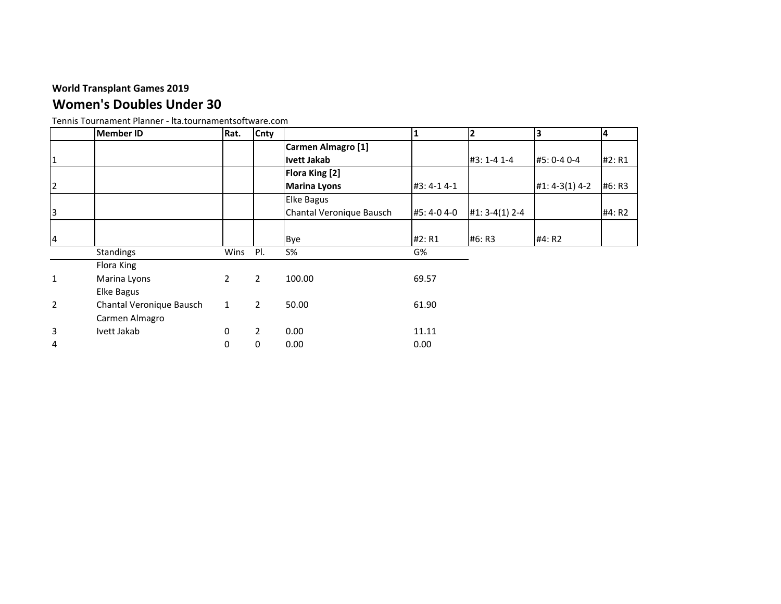# **Women's Doubles Under 30**

|                | <b>Member ID</b>         | Rat.           | Cnty           |                          |             | $\mathbf{2}$     | IЗ             | 4      |
|----------------|--------------------------|----------------|----------------|--------------------------|-------------|------------------|----------------|--------|
|                |                          |                |                | Carmen Almagro [1]       |             |                  |                |        |
| 1              |                          |                |                | <b>Ivett Jakab</b>       |             | #3: 1-4 1-4      | #5: 0-4 0-4    | #2: R1 |
|                |                          |                |                | <b>Flora King [2]</b>    |             |                  |                |        |
| $\overline{2}$ |                          |                |                | <b>Marina Lyons</b>      | #3:4-14-1   |                  | #1: 4-3(1) 4-2 | #6: R3 |
|                |                          |                |                | <b>Elke Bagus</b>        |             |                  |                |        |
| 3              |                          |                |                | Chantal Veronique Bausch | #5: 4-0 4-0 | $#1: 3-4(1) 2-4$ |                | #4: R2 |
|                |                          |                |                |                          |             |                  |                |        |
| 4              |                          |                |                | Bye                      | #2: R1      | #6: R3           | #4: R2         |        |
|                | <b>Standings</b>         | Wins           | PI.            | $S\%$                    | G%          |                  |                |        |
|                | Flora King               |                |                |                          |             |                  |                |        |
| $\mathbf{1}$   | Marina Lyons             | $\overline{2}$ | 2              | 100.00                   | 69.57       |                  |                |        |
|                | Elke Bagus               |                |                |                          |             |                  |                |        |
| $\overline{2}$ | Chantal Veronique Bausch | $\mathbf{1}$   | $\overline{2}$ | 50.00                    | 61.90       |                  |                |        |
|                | Carmen Almagro           |                |                |                          |             |                  |                |        |
| 3              | Ivett Jakab              | 0              | $\overline{2}$ | 0.00                     | 11.11       |                  |                |        |
| 4              |                          | 0              | $\mathbf 0$    | 0.00                     | 0.00        |                  |                |        |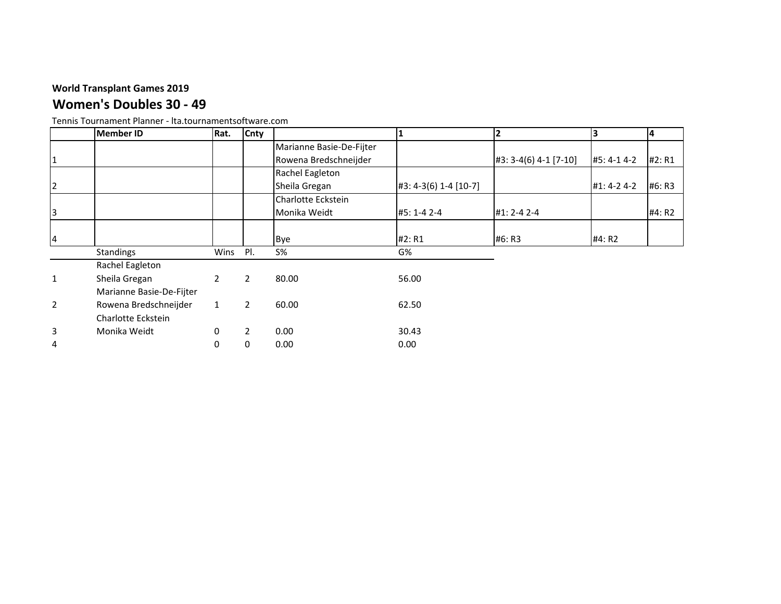1

 $\vert$ <sub>2</sub>

3

1

2

3

## **Women's Doubles 30 - 49**

|                | Tennis Tournament Planner - Ita.tournamentsoftware.com |                |                |                          |                       |                       |               |        |
|----------------|--------------------------------------------------------|----------------|----------------|--------------------------|-----------------------|-----------------------|---------------|--------|
|                | <b>Member ID</b>                                       | Rat.           | Cnty           |                          |                       |                       |               | 14     |
|                |                                                        |                |                | Marianne Basie-De-Fijter |                       |                       |               |        |
| 1              |                                                        |                |                | Rowena Bredschneijder    |                       | #3: 3-4(6) 4-1 [7-10] | #5: 4-1 4-2   | #2: R1 |
|                |                                                        |                |                | Rachel Eagleton          |                       |                       |               |        |
| $\overline{c}$ |                                                        |                |                | Sheila Gregan            | #3: 4-3(6) 1-4 [10-7] |                       | $#1: 4-2 4-2$ | #6: R3 |
|                |                                                        |                |                | Charlotte Eckstein       |                       |                       |               |        |
| 3              |                                                        |                |                | Monika Weidt             | #5: 1-4 2-4           | $#1: 2 - 4 2 - 4$     |               | #4: R2 |
|                |                                                        |                |                |                          |                       |                       |               |        |
| 4              |                                                        |                |                | Bye                      | #2: R1                | #6: R3                | #4: R2        |        |
|                | Standings                                              | Wins           | PI.            | $S\%$                    | G%                    |                       |               |        |
|                | Rachel Eagleton                                        |                |                |                          |                       |                       |               |        |
| 1              | Sheila Gregan                                          | $\overline{2}$ | $\overline{2}$ | 80.00                    | 56.00                 |                       |               |        |
|                | Marianne Basie-De-Fijter                               |                |                |                          |                       |                       |               |        |
| 2              | Rowena Bredschneijder                                  | $\mathbf{1}$   | $\overline{2}$ | 60.00                    | 62.50                 |                       |               |        |
|                | Charlotte Eckstein                                     |                |                |                          |                       |                       |               |        |
| 3              | Monika Weidt                                           | $\mathbf{0}$   |                | 0.00                     | 30.43                 |                       |               |        |
|                |                                                        |                |                |                          |                       |                       |               |        |

Tennis Tournament Planner - lta.tournamentsoftware.com

4 0 0 0.00 0.00 0.00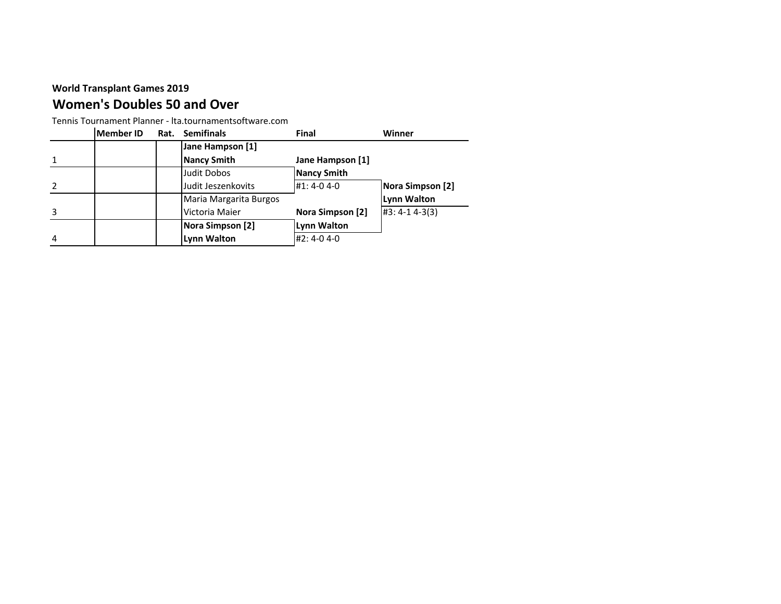## **Women's Doubles 50 and Over**

Tennis Tournament Planner - lta.tournamentsoftware.com

|   | <b>Member ID</b> | Rat. Semifinals        | Final              | Winner             |
|---|------------------|------------------------|--------------------|--------------------|
|   |                  | Jane Hampson [1]       |                    |                    |
|   |                  | <b>Nancy Smith</b>     | Jane Hampson [1]   |                    |
|   |                  | Judit Dobos            | <b>Nancy Smith</b> |                    |
|   |                  | Judit Jeszenkovits     | #1:4-04-0          | Nora Simpson [2]   |
|   |                  | Maria Margarita Burgos |                    | <b>Lynn Walton</b> |
|   |                  | Victoria Maier         | Nora Simpson [2]   | $#3: 4-1 4-3(3)$   |
|   |                  | Nora Simpson [2]       | <b>Lynn Walton</b> |                    |
| 4 |                  | <b>Lynn Walton</b>     | #2:4-04-0          |                    |